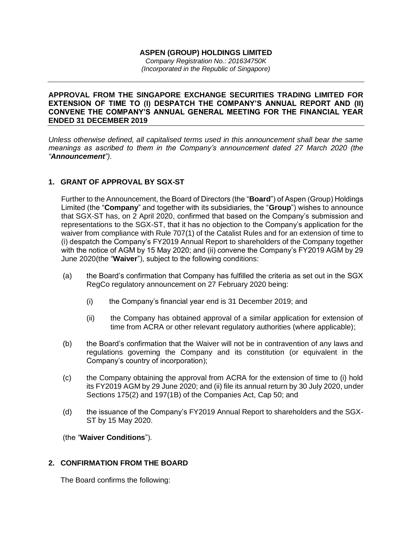#### **ASPEN (GROUP) HOLDINGS LIMITED** *Company Registration No.: 201634750K (Incorporated in the Republic of Singapore)*

#### **APPROVAL FROM THE SINGAPORE EXCHANGE SECURITIES TRADING LIMITED FOR EXTENSION OF TIME TO (I) DESPATCH THE COMPANY'S ANNUAL REPORT AND (II) CONVENE THE COMPANY'S ANNUAL GENERAL MEETING FOR THE FINANCIAL YEAR ENDED 31 DECEMBER 2019**

*Unless otherwise defined, all capitalised terms used in this announcement shall bear the same meanings as ascribed to them in the Company's announcement dated 27 March 2020 (the "Announcement").*

# **1. GRANT OF APPROVAL BY SGX-ST**

Further to the Announcement, the Board of Directors (the "**Board**") of Aspen (Group) Holdings Limited (the "**Company**" and together with its subsidiaries, the "**Group**") wishes to announce that SGX-ST has, on 2 April 2020, confirmed that based on the Company's submission and representations to the SGX-ST, that it has no objection to the Company's application for the waiver from compliance with Rule 707(1) of the Catalist Rules and for an extension of time to (i) despatch the Company's FY2019 Annual Report to shareholders of the Company together with the notice of AGM by 15 May 2020; and (ii) convene the Company's FY2019 AGM by 29 June 2020(the "**Waiver**"), subject to the following conditions:

- (a) the Board's confirmation that Company has fulfilled the criteria as set out in the SGX RegCo regulatory announcement on 27 February 2020 being:
	- (i) the Company's financial year end is 31 December 2019; and
	- (ii) the Company has obtained approval of a similar application for extension of time from ACRA or other relevant regulatory authorities (where applicable);
- (b) the Board's confirmation that the Waiver will not be in contravention of any laws and regulations governing the Company and its constitution (or equivalent in the Company's country of incorporation);
- (c) the Company obtaining the approval from ACRA for the extension of time to (i) hold its FY2019 AGM by 29 June 2020; and (ii) file its annual return by 30 July 2020, under Sections 175(2) and 197(1B) of the Companies Act, Cap 50; and
- (d) the issuance of the Company's FY2019 Annual Report to shareholders and the SGX-ST by 15 May 2020.

(the "**Waiver Conditions**").

# **2. CONFIRMATION FROM THE BOARD**

The Board confirms the following: